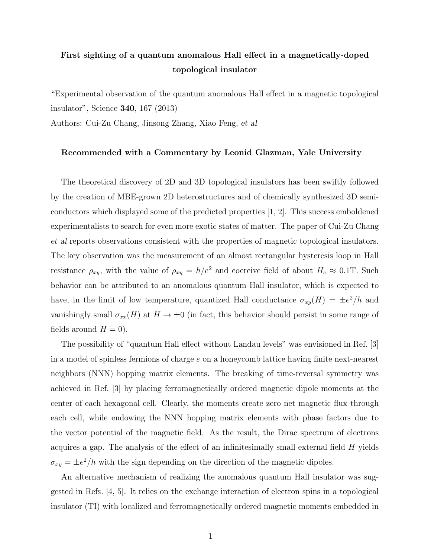## First sighting of a quantum anomalous Hall effect in a magnetically-doped topological insulator

"Experimental observation of the quantum anomalous Hall effect in a magnetic topological insulator", Science 340, 167 (2013)

Authors: Cui-Zu Chang, Jinsong Zhang, Xiao Feng, *et al*

## Recommended with a Commentary by Leonid Glazman, Yale University

The theoretical discovery of 2D and 3D topological insulators has been swiftly followed by the creation of MBE-grown 2D heterostructures and of chemically synthesized 3D semiconductors which displayed some of the predicted properties [1, 2]. This success emboldened experimentalists to search for even more exotic states of matter. The paper of Cui-Zu Chang *et al* reports observations consistent with the properties of magnetic topological insulators. The key observation was the measurement of an almost rectangular hysteresis loop in Hall resistance  $\rho_{xy}$ , with the value of  $\rho_{xy} = h/e^2$  and coercive field of about  $H_c \approx 0.1$ T. Such behavior can be attributed to an anomalous quantum Hall insulator, which is expected to have, in the limit of low temperature, quantized Hall conductance  $\sigma_{xy}(H) = \pm e^2/h$  and vanishingly small  $\sigma_{xx}(H)$  at  $H \to \pm 0$  (in fact, this behavior should persist in some range of fields around  $H = 0$ ).

The possibility of "quantum Hall effect without Landau levels" was envisioned in Ref. [3] in a model of spinless fermions of charge *e* on a honeycomb lattice having finite next-nearest neighbors (NNN) hopping matrix elements. The breaking of time-reversal symmetry was achieved in Ref. [3] by placing ferromagnetically ordered magnetic dipole moments at the center of each hexagonal cell. Clearly, the moments create zero net magnetic flux through each cell, while endowing the NNN hopping matrix elements with phase factors due to the vector potential of the magnetic field. As the result, the Dirac spectrum of electrons acquires a gap. The analysis of the effect of an infinitesimally small external field *H* yields  $\sigma_{xy} = \pm e^2/h$  with the sign depending on the direction of the magnetic dipoles.

An alternative mechanism of realizing the anomalous quantum Hall insulator was suggested in Refs. [4, 5]. It relies on the exchange interaction of electron spins in a topological insulator (TI) with localized and ferromagnetically ordered magnetic moments embedded in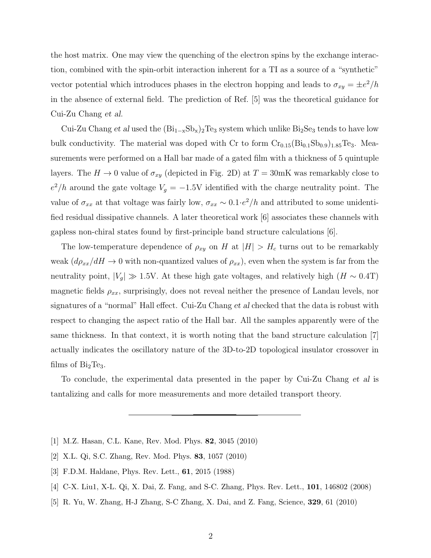the host matrix. One may view the quenching of the electron spins by the exchange interaction, combined with the spin-orbit interaction inherent for a TI as a source of a "synthetic" vector potential which introduces phases in the electron hopping and leads to  $\sigma_{xy} = \pm e^2/h$ in the absence of external field. The prediction of Ref. [5] was the theoretical guidance for Cui-Zu Chang *et al*.

Cui-Zu Chang *et al* used the  $(Bi_{1-x}Sb_x)_2Te_3$  system which unlike  $Bi_2Se_3$  tends to have low bulk conductivity. The material was doped with Cr to form  $Cr_{0.15}(Bi_{0.1}Sb_{0.9})_{1.85}Te_3$ . Measurements were performed on a Hall bar made of a gated film with a thickness of 5 quintuple layers. The  $H \to 0$  value of  $\sigma_{xy}$  (depicted in Fig. 2D) at  $T = 30$ mK was remarkably close to  $e^2/h$  around the gate voltage  $V_g = -1.5V$  identified with the charge neutrality point. The value of  $\sigma_{xx}$  at that voltage was fairly low,  $\sigma_{xx} \sim 0.1 \cdot e^2/h$  and attributed to some unidentified residual dissipative channels. A later theoretical work [6] associates these channels with gapless non-chiral states found by first-principle band structure calculations [6].

The low-temperature dependence of  $\rho_{xy}$  on *H* at  $|H| > H_c$  turns out to be remarkably weak  $(d\rho_{xx}/dH \rightarrow 0$  with non-quantized values of  $\rho_{xx}$ , even when the system is far from the neutrality point,  $|V_g| \gg 1.5V$ . At these high gate voltages, and relatively high  $(H \sim 0.4T)$ magnetic fields  $\rho_{xx}$ , surprisingly, does not reveal neither the presence of Landau levels, nor signatures of a "normal" Hall effect. Cui-Zu Chang *et al* checked that the data is robust with respect to changing the aspect ratio of the Hall bar. All the samples apparently were of the same thickness. In that context, it is worth noting that the band structure calculation [7] actually indicates the oscillatory nature of the 3D-to-2D topological insulator crossover in films of  $Bi<sub>2</sub>Te<sub>3</sub>$ .

To conclude, the experimental data presented in the paper by Cui-Zu Chang *et al* is tantalizing and calls for more measurements and more detailed transport theory.

- [1] M.Z. Hasan, C.L. Kane, Rev. Mod. Phys. 82, 3045 (2010)
- [2] X.L. Qi, S.C. Zhang, Rev. Mod. Phys. 83, 1057 (2010)
- [3] F.D.M. Haldane, Phys. Rev. Lett., 61, 2015 (1988)
- [4] C-X. Liu1, X-L. Qi, X. Dai, Z. Fang, and S-C. Zhang, Phys. Rev. Lett., 101, 146802 (2008)
- [5] R. Yu, W. Zhang, H-J Zhang, S-C Zhang, X. Dai, and Z. Fang, Science, 329, 61 (2010)